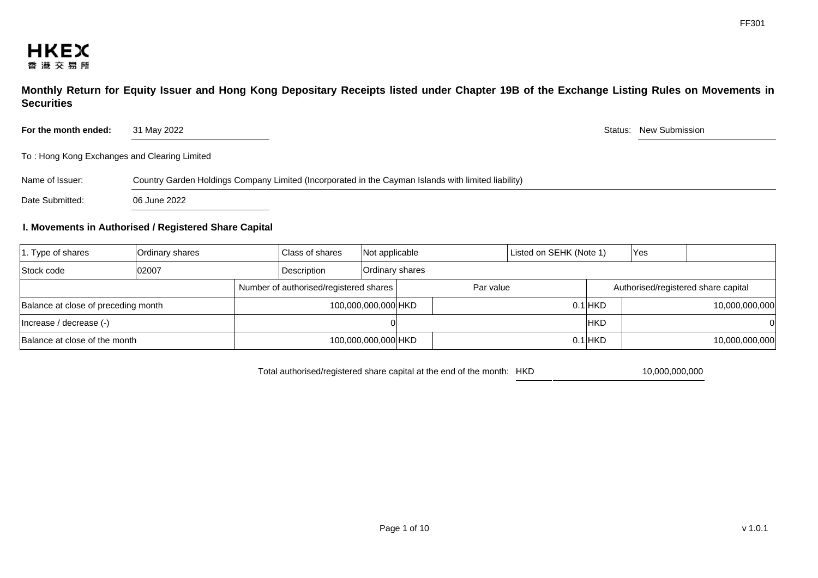

**Monthly Return for Equity Issuer and Hong Kong Depositary Receipts listed under Chapter 19B of the Exchange Listing Rules on Movements in Securities** 

For the month ended: 31 May 2022 31 May 2022 31 May 2022 31 May 2022 31 May 2022 Status: New Submission

To : Hong Kong Exchanges and Clearing Limited

| Name of Issuer:<br>Country Garden Holdings Company Limited (Incorporated in the Cayman Islands with limited liability) |  |
|------------------------------------------------------------------------------------------------------------------------|--|
|------------------------------------------------------------------------------------------------------------------------|--|

Date Submitted: 06 June 2022

### **I. Movements in Authorised / Registered Share Capital**

| $ 1.$ Type of shares                   | Ordinary shares     |                     | Class of shares | Not applicable<br>Listed on SEHK (Note 1)        |                 |  |             |  | Yes            |  |  |  |
|----------------------------------------|---------------------|---------------------|-----------------|--------------------------------------------------|-----------------|--|-------------|--|----------------|--|--|--|
| Stock code                             | 02007               | Description         |                 |                                                  | Ordinary shares |  |             |  |                |  |  |  |
| Number of authorised/registered shares |                     |                     |                 | Par value<br>Authorised/registered share capital |                 |  |             |  |                |  |  |  |
| Balance at close of preceding month    |                     | 100,000,000,000 HKD |                 |                                                  |                 |  | $0.1$ $HKD$ |  | 10,000,000,000 |  |  |  |
| (-) Increase / decrease (-)            |                     |                     |                 |                                                  |                 |  | <b>IHKD</b> |  |                |  |  |  |
| Balance at close of the month          | 100,000,000,000 HKD |                     |                 |                                                  |                 |  | $0.1$ $HKD$ |  | 10,000,000,000 |  |  |  |

Total authorised/registered share capital at the end of the month: HKD 10,000,000,000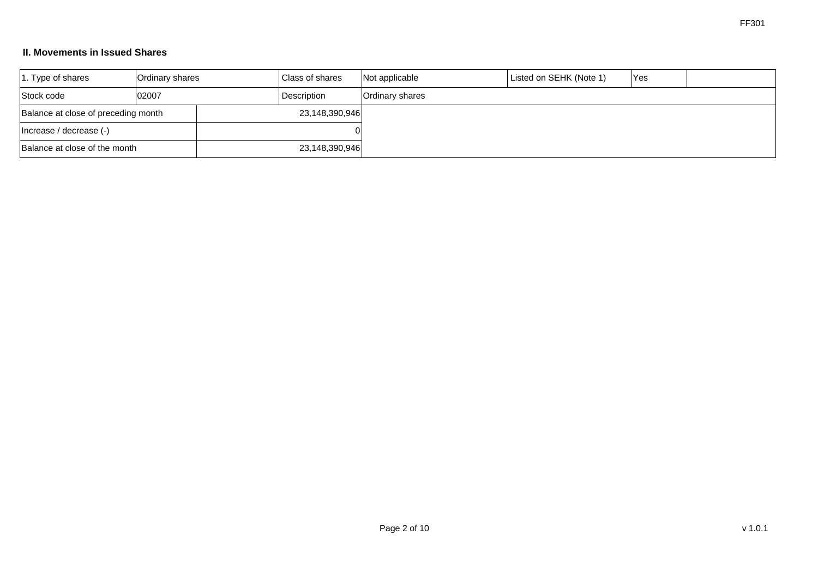## **II. Movements in Issued Shares**

| $ 1.$ Type of shares                | Ordinary shares |                | Class of shares | Not applicable  | Listed on SEHK (Note 1) | Yes |  |
|-------------------------------------|-----------------|----------------|-----------------|-----------------|-------------------------|-----|--|
| 02007<br>Stock code                 |                 |                | Description     | Ordinary shares |                         |     |  |
| Balance at close of preceding month |                 |                | 23,148,390,946  |                 |                         |     |  |
| Increase / decrease (-)             |                 |                |                 |                 |                         |     |  |
| Balance at close of the month       |                 | 23,148,390,946 |                 |                 |                         |     |  |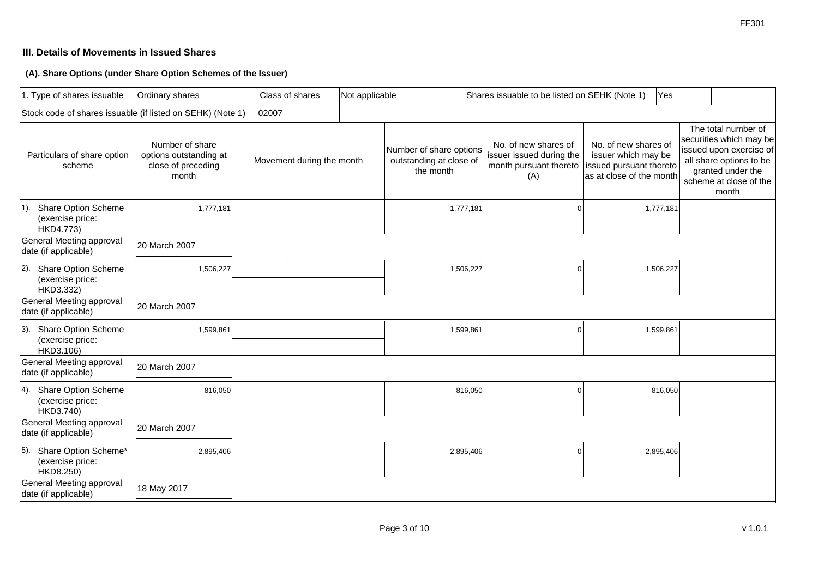## **III. Details of Movements in Issued Shares**

**(A). Share Options (under Share Option Schemes of the Issuer)**

|                                                  | 1. Type of shares issuable                                 | Ordinary shares                                                          |       | Class of shares |  | Not applicable            |           | Shares issuable to be listed on SEHK (Note 1)                   |           | Yes                                                                               |                                                                                                    |  |                                                                                                                                                              |  |
|--------------------------------------------------|------------------------------------------------------------|--------------------------------------------------------------------------|-------|-----------------|--|---------------------------|-----------|-----------------------------------------------------------------|-----------|-----------------------------------------------------------------------------------|----------------------------------------------------------------------------------------------------|--|--------------------------------------------------------------------------------------------------------------------------------------------------------------|--|
|                                                  | Stock code of shares issuable (if listed on SEHK) (Note 1) |                                                                          | 02007 |                 |  |                           |           |                                                                 |           |                                                                                   |                                                                                                    |  |                                                                                                                                                              |  |
| Particulars of share option<br>scheme            |                                                            | Number of share<br>options outstanding at<br>close of preceding<br>month |       |                 |  | Movement during the month |           | Number of share options<br>outstanding at close of<br>the month |           | No. of new shares of<br>issuer issued during the<br>month pursuant thereto<br>(A) | No. of new shares of<br>issuer which may be<br>issued pursuant thereto<br>as at close of the month |  | The total number of<br>securities which may be<br>issued upon exercise of<br>all share options to be<br>granted under the<br>scheme at close of the<br>month |  |
| $ 1$ ).                                          | Share Option Scheme<br>(exercise price:<br>HKD4.773)       | 1,777,181                                                                |       |                 |  |                           | 1,777,181 |                                                                 | 1,777,181 |                                                                                   |                                                                                                    |  |                                                                                                                                                              |  |
|                                                  | General Meeting approval<br>date (if applicable)           | 20 March 2007                                                            |       |                 |  |                           |           |                                                                 |           |                                                                                   |                                                                                                    |  |                                                                                                                                                              |  |
| $ 2$ ).                                          | Share Option Scheme<br>(exercise price:<br>HKD3.332)       | 1,506,227                                                                |       |                 |  |                           | 1,506,227 |                                                                 |           | 1,506,227                                                                         |                                                                                                    |  |                                                                                                                                                              |  |
| General Meeting approval<br>date (if applicable) |                                                            | 20 March 2007                                                            |       |                 |  |                           |           |                                                                 |           |                                                                                   |                                                                                                    |  |                                                                                                                                                              |  |
| $ 3$ ).                                          | Share Option Scheme<br>(exercise price:<br>HKD3.106)       | 1,599,861                                                                |       |                 |  |                           | 1,599,861 |                                                                 |           | 1,599,861                                                                         |                                                                                                    |  |                                                                                                                                                              |  |
|                                                  | General Meeting approval<br>date (if applicable)           | 20 March 2007                                                            |       |                 |  |                           |           |                                                                 |           |                                                                                   |                                                                                                    |  |                                                                                                                                                              |  |
| 4).                                              | Share Option Scheme<br>(exercise price:<br>HKD3.740)       | 816,050                                                                  |       |                 |  |                           | 816,050   |                                                                 |           | 816,050                                                                           |                                                                                                    |  |                                                                                                                                                              |  |
| General Meeting approval<br>date (if applicable) |                                                            | 20 March 2007                                                            |       |                 |  |                           |           |                                                                 |           |                                                                                   |                                                                                                    |  |                                                                                                                                                              |  |
| 5).                                              | Share Option Scheme*<br>(exercise price:<br>HKD8.250)      | 2,895,406                                                                |       |                 |  |                           | 2,895,406 | n                                                               |           | 2,895,406                                                                         |                                                                                                    |  |                                                                                                                                                              |  |
|                                                  | General Meeting approval<br>date (if applicable)           | 18 May 2017                                                              |       |                 |  |                           |           |                                                                 |           |                                                                                   |                                                                                                    |  |                                                                                                                                                              |  |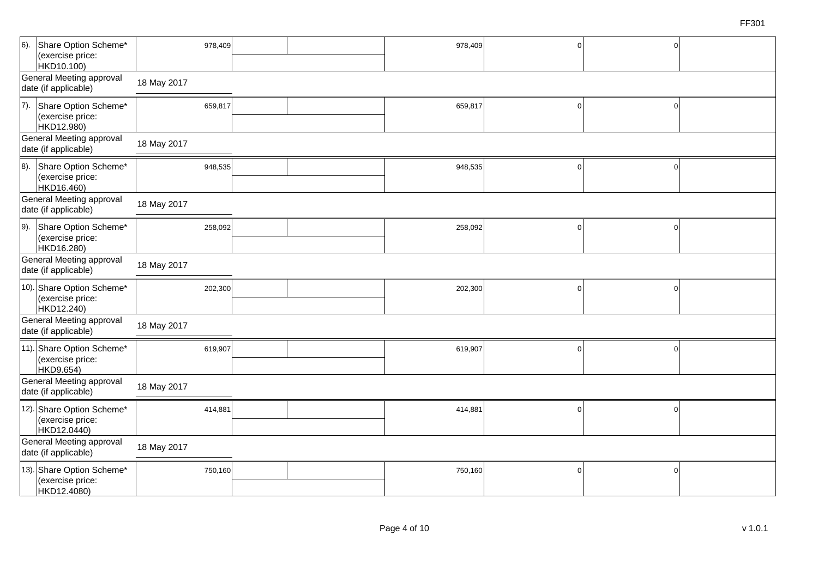| $6$ ).                                           | Share Option Scheme*<br>(exercise price:<br>HKD10.100)       | 978,409     |  |  | 978,409 | $\Omega$       | $\mathbf 0$ |  |  |  |  |  |
|--------------------------------------------------|--------------------------------------------------------------|-------------|--|--|---------|----------------|-------------|--|--|--|--|--|
|                                                  | General Meeting approval<br>date (if applicable)             | 18 May 2017 |  |  |         |                |             |  |  |  |  |  |
| (7).                                             | Share Option Scheme*<br>(exercise price:<br>HKD12.980)       | 659,817     |  |  | 659,817 | $\mathbf 0$    | $\mathsf 0$ |  |  |  |  |  |
|                                                  | General Meeting approval<br>date (if applicable)             | 18 May 2017 |  |  |         |                |             |  |  |  |  |  |
| 8).                                              | Share Option Scheme*<br>(exercise price:<br>HKD16.460)       | 948,535     |  |  | 948,535 | $\mathbf 0$    | $\mathbf 0$ |  |  |  |  |  |
|                                                  | General Meeting approval<br>date (if applicable)             | 18 May 2017 |  |  |         |                |             |  |  |  |  |  |
| 9).                                              | Share Option Scheme*<br>(exercise price:<br>HKD16.280)       | 258,092     |  |  | 258,092 | $\overline{0}$ | $\Omega$    |  |  |  |  |  |
| General Meeting approval<br>date (if applicable) |                                                              | 18 May 2017 |  |  |         |                |             |  |  |  |  |  |
|                                                  | 10). Share Option Scheme*<br>(exercise price:<br>HKD12.240)  | 202,300     |  |  | 202,300 | $\overline{0}$ | $\mathbf 0$ |  |  |  |  |  |
|                                                  | General Meeting approval<br>date (if applicable)             | 18 May 2017 |  |  |         |                |             |  |  |  |  |  |
|                                                  | 11). Share Option Scheme*<br>(exercise price:<br>HKD9.654)   | 619,907     |  |  | 619,907 | $\overline{0}$ | $\Omega$    |  |  |  |  |  |
|                                                  | General Meeting approval<br>date (if applicable)             | 18 May 2017 |  |  |         |                |             |  |  |  |  |  |
|                                                  | 12). Share Option Scheme*<br>(exercise price:<br>HKD12.0440) | 414,881     |  |  | 414,881 | $\mathbf 0$    | $\mathbf 0$ |  |  |  |  |  |
|                                                  | General Meeting approval<br>date (if applicable)             | 18 May 2017 |  |  |         |                |             |  |  |  |  |  |
|                                                  | 13). Share Option Scheme*<br>(exercise price:<br>HKD12.4080) | 750,160     |  |  | 750,160 | $\Omega$       | 0           |  |  |  |  |  |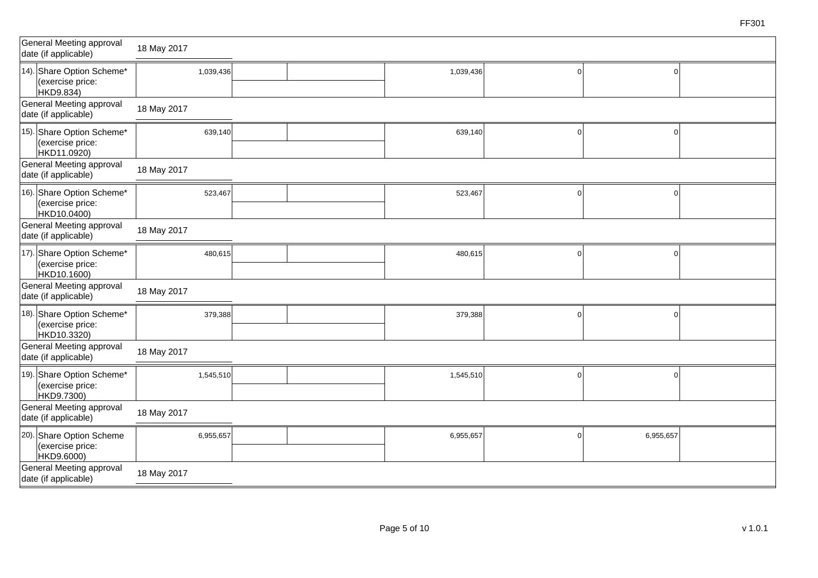| General Meeting approval<br>date (if applicable)             | 18 May 2017 |           |              |           |  |
|--------------------------------------------------------------|-------------|-----------|--------------|-----------|--|
| 14). Share Option Scheme*<br>(exercise price:<br>HKD9.834)   | 1,039,436   | 1,039,436 | $\Omega$     |           |  |
| General Meeting approval<br>date (if applicable)             | 18 May 2017 |           |              |           |  |
| 15). Share Option Scheme*<br>(exercise price:<br>HKD11.0920) | 639,140     | 639,140   |              |           |  |
| General Meeting approval<br>date (if applicable)             | 18 May 2017 |           |              |           |  |
| 16). Share Option Scheme*<br>(exercise price:<br>HKD10.0400) | 523,467     | 523,467   |              |           |  |
| General Meeting approval<br>date (if applicable)             | 18 May 2017 |           |              |           |  |
| 17). Share Option Scheme*<br>(exercise price:<br>HKD10.1600) | 480,615     | 480,615   | $\Omega$     |           |  |
| General Meeting approval<br>date (if applicable)             | 18 May 2017 |           |              |           |  |
| 18). Share Option Scheme*<br>(exercise price:<br>HKD10.3320) | 379,388     | 379,388   | n            |           |  |
| General Meeting approval<br>date (if applicable)             | 18 May 2017 |           |              |           |  |
| 19). Share Option Scheme*<br>(exercise price:<br>HKD9.7300)  | 1,545,510   | 1,545,510 | <sup>0</sup> |           |  |
| General Meeting approval<br>date (if applicable)             | 18 May 2017 |           |              |           |  |
| 20). Share Option Scheme<br>(exercise price:<br>HKD9.6000)   | 6,955,657   | 6,955,657 |              | 6,955,657 |  |
| General Meeting approval<br>date (if applicable)             | 18 May 2017 |           |              |           |  |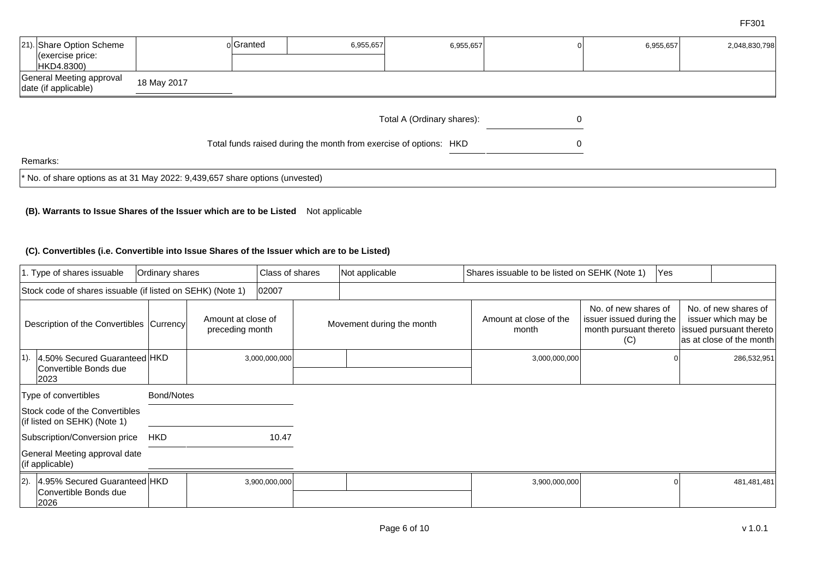| [21). Share Option Scheme<br>$ $ (exercise price:<br>HKD4.8300)                |             | olGranted | 6,955,657                                                         | 6,955,657                  |  | 6,955,657 | 2,048,830,798 |  |
|--------------------------------------------------------------------------------|-------------|-----------|-------------------------------------------------------------------|----------------------------|--|-----------|---------------|--|
| General Meeting approval<br>date (if applicable)                               | 18 May 2017 |           |                                                                   |                            |  |           |               |  |
|                                                                                |             |           |                                                                   | Total A (Ordinary shares): |  |           |               |  |
|                                                                                |             |           | Total funds raised during the month from exercise of options: HKD |                            |  |           |               |  |
| Remarks:                                                                       |             |           |                                                                   |                            |  |           |               |  |
| $*$ No. of share options as at 31 May 2022: 9,439,657 share options (unvested) |             |           |                                                                   |                            |  |           |               |  |

## **(B). Warrants to Issue Shares of the Issuer which are to be Listed** Not applicable

#### **(C). Convertibles (i.e. Convertible into Issue Shares of the Issuer which are to be Listed)**

|                                            | 1. Type of shares issuable<br>Ordinary shares                  |            |                                       | Class of shares |  | Not applicable            | Shares issuable to be listed on SEHK (Note 1) |                                                                                   | <b>Yes</b> |                                                                                                    |
|--------------------------------------------|----------------------------------------------------------------|------------|---------------------------------------|-----------------|--|---------------------------|-----------------------------------------------|-----------------------------------------------------------------------------------|------------|----------------------------------------------------------------------------------------------------|
|                                            | Stock code of shares issuable (if listed on SEHK) (Note 1)     |            |                                       | 02007           |  |                           |                                               |                                                                                   |            |                                                                                                    |
| Description of the Convertibles   Currency |                                                                |            | Amount at close of<br>preceding month |                 |  | Movement during the month | Amount at close of the<br>month               | No. of new shares of<br>issuer issued during the<br>month pursuant thereto<br>(C) |            | No. of new shares of<br>issuer which may be<br>issued pursuant thereto<br>as at close of the month |
| $ 1\rangle$ .                              | 4.50% Secured Guaranteed HKD<br>Convertible Bonds due<br>2023  |            |                                       | 3,000,000,000   |  |                           | 3,000,000,000                                 |                                                                                   |            | 286,532,951                                                                                        |
|                                            | Type of convertibles                                           | Bond/Notes |                                       |                 |  |                           |                                               |                                                                                   |            |                                                                                                    |
|                                            | Stock code of the Convertibles<br>(if listed on SEHK) (Note 1) |            |                                       |                 |  |                           |                                               |                                                                                   |            |                                                                                                    |
|                                            | Subscription/Conversion price                                  | <b>HKD</b> |                                       | 10.47           |  |                           |                                               |                                                                                   |            |                                                                                                    |
|                                            | General Meeting approval date<br>$($ if applicable $)$         |            |                                       |                 |  |                           |                                               |                                                                                   |            |                                                                                                    |
| $ 2$ ).                                    | 4.95% Secured Guaranteed HKD<br>Convertible Bonds due<br>2026  |            |                                       | 3,900,000,000   |  |                           | 3,900,000,000                                 |                                                                                   |            | 481,481,481                                                                                        |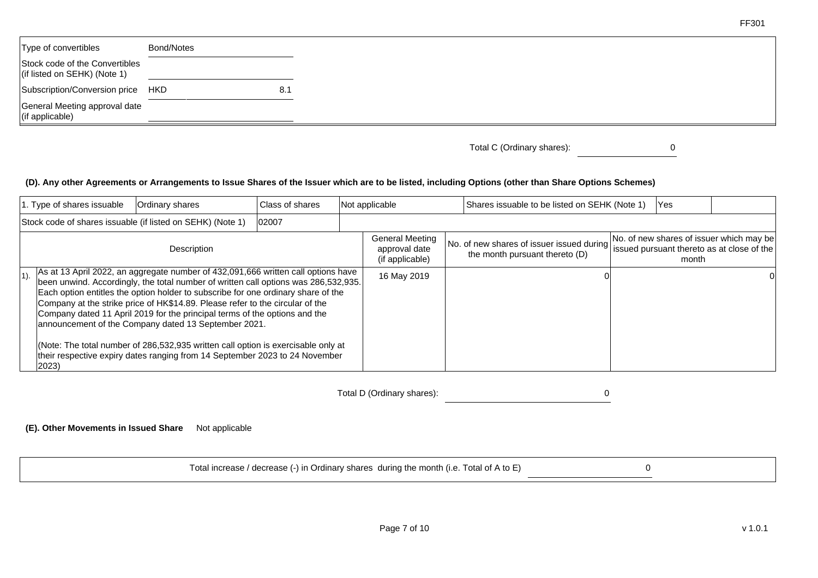| Type of convertibles                                                   | Bond/Notes |     |
|------------------------------------------------------------------------|------------|-----|
| Stock code of the Convertibles<br>$\vert$ (if listed on SEHK) (Note 1) |            |     |
| Subscription/Conversion price HKD                                      |            | 8.1 |
| General Meeting approval date<br>$($ if applicable $)$                 |            |     |

Total C (Ordinary shares): 0

FF301

# **(D). Any other Agreements or Arrangements to Issue Shares of the Issuer which are to be listed, including Options (other than Share Options Schemes)**

|         | 1. Type of shares issuable | Class of shares<br>Not applicable<br>Ordinary shares                                                                                                                                                                                                                                                                                                                                                                                                                                                                                                                                                                                                     |       | Shares issuable to be listed on SEHK (Note 1)              | Yes |                                                                             |       |                                                                                        |
|---------|----------------------------|----------------------------------------------------------------------------------------------------------------------------------------------------------------------------------------------------------------------------------------------------------------------------------------------------------------------------------------------------------------------------------------------------------------------------------------------------------------------------------------------------------------------------------------------------------------------------------------------------------------------------------------------------------|-------|------------------------------------------------------------|-----|-----------------------------------------------------------------------------|-------|----------------------------------------------------------------------------------------|
|         |                            | Stock code of shares issuable (if listed on SEHK) (Note 1)                                                                                                                                                                                                                                                                                                                                                                                                                                                                                                                                                                                               | 02007 |                                                            |     |                                                                             |       |                                                                                        |
|         |                            | Description                                                                                                                                                                                                                                                                                                                                                                                                                                                                                                                                                                                                                                              |       | <b>General Meeting</b><br>approval date<br>(if applicable) |     | No. of new shares of issuer issued during<br>the month pursuant thereto (D) | month | No. of new shares of issuer which may be<br>issued pursuant thereto as at close of the |
| $ 1$ ). | 2023)                      | As at 13 April 2022, an aggregate number of 432,091,666 written call options have<br>been unwind. Accordingly, the total number of written call options was 286,532,935.<br>Each option entitles the option holder to subscribe for one ordinary share of the<br>Company at the strike price of HK\$14.89. Please refer to the circular of the<br>Company dated 11 April 2019 for the principal terms of the options and the<br>announcement of the Company dated 13 September 2021.<br>(Note: The total number of 286,532,935 written call option is exercisable only at<br>their respective expiry dates ranging from 14 September 2023 to 24 November |       | 16 May 2019                                                |     |                                                                             |       |                                                                                        |

Total D (Ordinary shares): 0

**(E). Other Movements in Issued Share** Not applicable

Total increase / decrease (-) in Ordinary shares during the month (i.e. Total of A to E) 0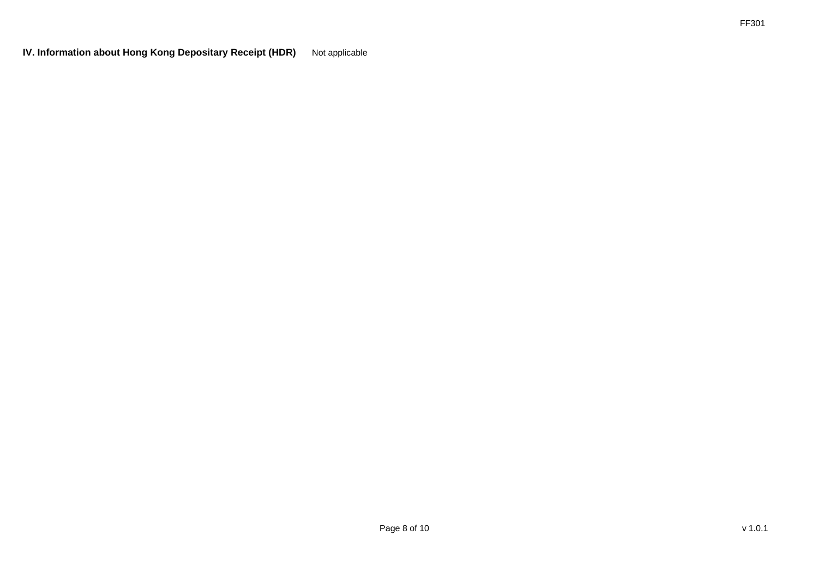**IV. Information about Hong Kong Depositary Receipt (HDR)** Not applicable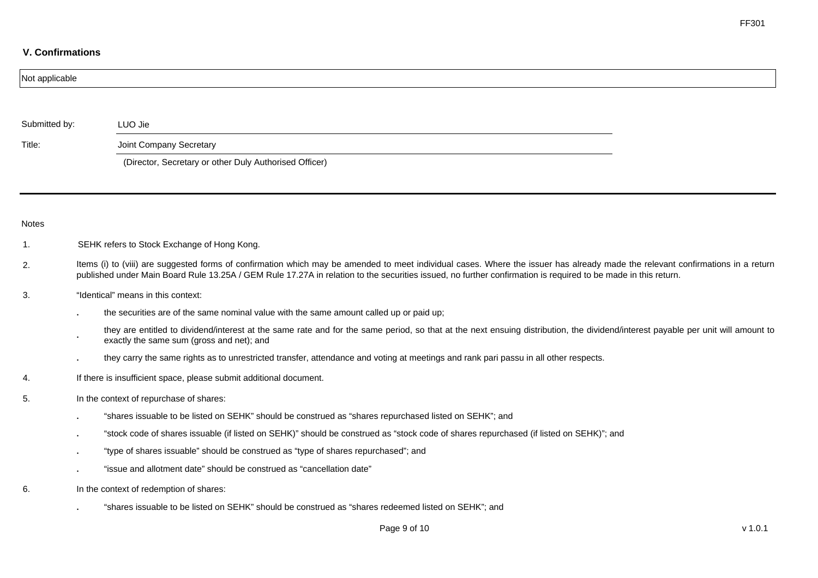## **V. Confirmations**

| Not applicable |                                                                                                                                                                                                                                                                                                                                                  |         |
|----------------|--------------------------------------------------------------------------------------------------------------------------------------------------------------------------------------------------------------------------------------------------------------------------------------------------------------------------------------------------|---------|
|                |                                                                                                                                                                                                                                                                                                                                                  |         |
| Submitted by:  | LUO Jie                                                                                                                                                                                                                                                                                                                                          |         |
| Title:         | Joint Company Secretary                                                                                                                                                                                                                                                                                                                          |         |
|                | (Director, Secretary or other Duly Authorised Officer)                                                                                                                                                                                                                                                                                           |         |
|                |                                                                                                                                                                                                                                                                                                                                                  |         |
| <b>Notes</b>   |                                                                                                                                                                                                                                                                                                                                                  |         |
| $\mathbf{1}$ . | SEHK refers to Stock Exchange of Hong Kong.                                                                                                                                                                                                                                                                                                      |         |
| 2.             | Items (i) to (viii) are suggested forms of confirmation which may be amended to meet individual cases. Where the issuer has already made the relevant confirmations in a return<br>published under Main Board Rule 13.25A / GEM Rule 17.27A in relation to the securities issued, no further confirmation is required to be made in this return. |         |
| 3.             | "Identical" means in this context:                                                                                                                                                                                                                                                                                                               |         |
|                | the securities are of the same nominal value with the same amount called up or paid up;                                                                                                                                                                                                                                                          |         |
|                | they are entitled to dividend/interest at the same rate and for the same period, so that at the next ensuing distribution, the dividend/interest payable per unit will amount to<br>exactly the same sum (gross and net); and                                                                                                                    |         |
|                | they carry the same rights as to unrestricted transfer, attendance and voting at meetings and rank pari passu in all other respects.                                                                                                                                                                                                             |         |
| 4.             | If there is insufficient space, please submit additional document.                                                                                                                                                                                                                                                                               |         |
| 5.             | In the context of repurchase of shares:                                                                                                                                                                                                                                                                                                          |         |
|                | "shares issuable to be listed on SEHK" should be construed as "shares repurchased listed on SEHK"; and                                                                                                                                                                                                                                           |         |
|                | "stock code of shares issuable (if listed on SEHK)" should be construed as "stock code of shares repurchased (if listed on SEHK)"; and                                                                                                                                                                                                           |         |
|                | "type of shares issuable" should be construed as "type of shares repurchased"; and                                                                                                                                                                                                                                                               |         |
|                | "issue and allotment date" should be construed as "cancellation date"                                                                                                                                                                                                                                                                            |         |
| 6.             | In the context of redemption of shares:                                                                                                                                                                                                                                                                                                          |         |
|                | "shares issuable to be listed on SEHK" should be construed as "shares redeemed listed on SEHK"; and                                                                                                                                                                                                                                              |         |
|                | Page 9 of 10                                                                                                                                                                                                                                                                                                                                     | V 1.0.1 |

FF301